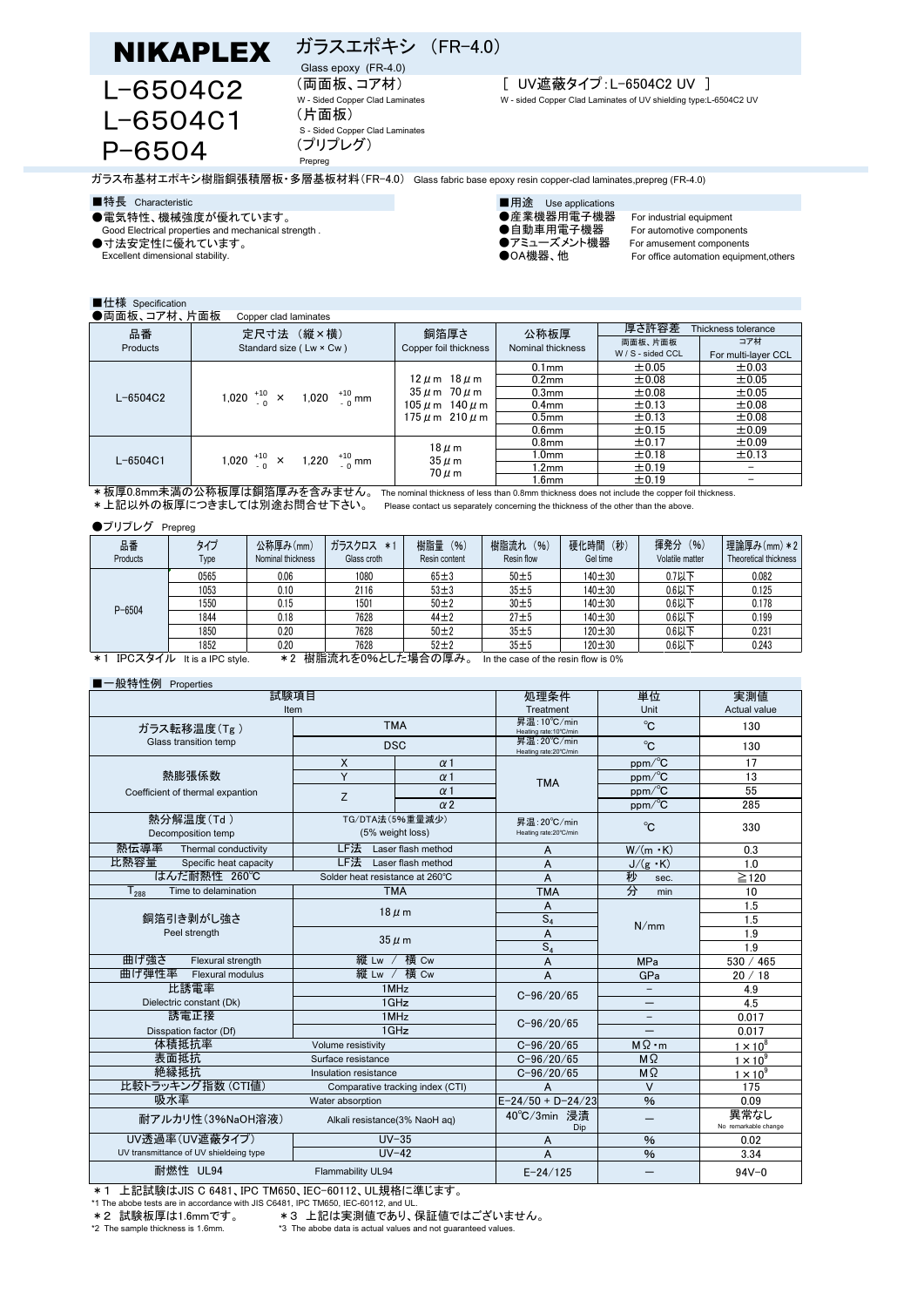# ガラスエポキシ (FR-4.0) Glass epoxy (FR-4.0)



(片面板) S - Sided Copper Clad Laminates (プリプレグ) Prepreg

## (両面板、コア材) [ UV遮蔽タイプ:L-6504C2 UV ]

W - Sided Copper Clad Laminates W - sided Copper Clad Laminates of UV shielding type:L-6504C2 UV

For office automation equipment,others

ガラス布基材エポキシ樹脂銅張積層板・多層基板材料(FR-4.0) Glass fabric base epoxy resin copper-clad laminates,prepreg (FR-4.0)

### ■特長 Characteristic ■特長 Characteristic ■

- 
- ●電気特性、機械強度が優れています。 ●産業機器用電子機器 For industrial equipment Good Electrical properties and mechanical strength . ●自動車用電子機器 For automotive components

●寸法安定性に優れています。 ●アミューズメント機器 For amusement components<br>● Excellent dimensional stability. ●OA機器、他 For office automation equipm

## ■仕様 Specification

| $-1 - 17$                                                                                                                     |                                              |                                                                                                      |                           |                              |                     |  |  |
|-------------------------------------------------------------------------------------------------------------------------------|----------------------------------------------|------------------------------------------------------------------------------------------------------|---------------------------|------------------------------|---------------------|--|--|
| ●両面板、コア材、片面板<br>Copper clad laminates                                                                                         |                                              |                                                                                                      |                           |                              |                     |  |  |
| 品番                                                                                                                            | 定尺寸法 (縦×横)                                   | 銅箔厚さ<br>Copper foil thickness                                                                        | 公称板厚<br>Nominal thickness | 厚さ許容差<br>Thickness tolerance |                     |  |  |
| Products                                                                                                                      | Standard size (Lw × Cw)                      |                                                                                                      |                           | 両面板、片面板                      | コア材                 |  |  |
|                                                                                                                               |                                              |                                                                                                      |                           | W / S - sided CCL            | For multi-layer CCL |  |  |
| $L - 6504C2$                                                                                                                  |                                              | $12 \mu m$ 18 $\mu$ m<br>$35 \mu$ m $70 \mu$ m<br>$105 \mu$ m $140 \mu$ m<br>$175 \mu$ m $210 \mu$ m | $0.1$ mm                  | $\pm 0.05$                   | ±0.03               |  |  |
|                                                                                                                               |                                              |                                                                                                      | 0.2 <sub>mm</sub>         | $\pm 0.08$                   | ±0.05               |  |  |
|                                                                                                                               | 1,020 $^{+10}_{-0}$ × 1,020 $^{+10}_{-0}$ mm |                                                                                                      | 0.3 <sub>mm</sub>         | $\pm 0.08$                   | ±0.05               |  |  |
|                                                                                                                               |                                              |                                                                                                      | 0.4 <sub>mm</sub>         | ±0.13                        | ±0.08               |  |  |
|                                                                                                                               |                                              |                                                                                                      | 0.5 <sub>mm</sub>         | ±0.13                        | ±0.08               |  |  |
|                                                                                                                               |                                              |                                                                                                      | 0.6 <sub>mm</sub>         | ±0.15                        | ±0.09               |  |  |
| $L - 6504C1$                                                                                                                  |                                              | $18 \mu m$<br>$35 \mu m$<br>$70 \mu m$                                                               | 0.8 <sub>mm</sub>         | $\pm$ 0.17                   | ±0.09               |  |  |
|                                                                                                                               | 1,020 $^{+10}_{-0}$ × 1,220 $^{+10}_{-0}$ mm |                                                                                                      | 1.0mm                     | ±0.18                        | ±0.13               |  |  |
|                                                                                                                               |                                              |                                                                                                      | l.2mm                     | ±0.19                        |                     |  |  |
|                                                                                                                               |                                              |                                                                                                      | .6 <sub>mm</sub>          | $\pm$ 0.19                   |                     |  |  |
| *板厚0.8mm未満の公称板厚は銅箔厚みを含みません。<br>The nominal thickness of less than 0.8mm thickness does not include the copper foil thickness. |                                              |                                                                                                      |                           |                              |                     |  |  |

\*上記以外の板厚につきましては別途お問合せ下さい。 Please contact us separately concerning the thickness of the other than the above.

#### ●プリプレグ Prepreg

| 品番<br>Products                                                                                                 | タイプ<br>Type | 公称厚み(mm)<br>Nominal thickness | ガラスクロス<br>$*1$<br>Glass croth | 樹脂量<br>(96)<br>Resin content | 樹脂流れ<br>(96)<br>Resin flow | 硬化時間<br>(秒)<br>Gel time | 揮発分<br>(96)<br>Volatile matter | 理論厚み(mm) *2<br>Theoretical thickness |
|----------------------------------------------------------------------------------------------------------------|-------------|-------------------------------|-------------------------------|------------------------------|----------------------------|-------------------------|--------------------------------|--------------------------------------|
| $P - 6504$                                                                                                     | 0565        | 0.06                          | 1080                          | $65 \pm 3$                   | $50\pm5$                   | $140 + 30$              | 0.7以下                          | 0.082                                |
|                                                                                                                | 1053        | 0.10                          | 2116                          | $53 \pm 3$                   | $35 + 5$                   | $140 + 30$              | 0.6以下                          | 0.125                                |
|                                                                                                                | 1550        | 0.15                          | 1501                          | 50 <sub>±2</sub>             | 30 <sub>±5</sub>           | $140 + 30$              | 0.6以下                          | 0.178                                |
|                                                                                                                | 1844        | 0.18                          | 7628                          | $44 + 2$                     | $27 \pm 5$                 | $140 + 30$              | 0.6以下                          | 0.199                                |
|                                                                                                                | 1850        | 0.20                          | 7628                          | $50 + 2$                     | $35 + 5$                   | $120 \pm 30$            | 0.6以下                          | 0.231                                |
|                                                                                                                | 1852        | 0.20                          | 7628                          | $52 + 2$                     | $35 + 5$                   | $120 \pm 30$            | 0.6以下                          | 0.243                                |
| 掛脂法あたのんに 七担合の同力<br>エロヘラカノル<br>م ب<br>ا ب<br>$14.14 \pm 100 \pm 144$<br>to the serve of the service flam in OOC |             |                               |                               |                              |                            |                         |                                |                                      |

\*1 IPCスタイル It is a IPC style. \*2 樹脂流れを0%とした場合の厚み。 In the case of the resin flow is 0%

#### ■一般特性例 Properties

| 試験項目                                                  | 処理条件                                | 単位                         | 実測値                                   |                              |                 |
|-------------------------------------------------------|-------------------------------------|----------------------------|---------------------------------------|------------------------------|-----------------|
| Item                                                  |                                     |                            | Treatment                             | Unit                         | Actual value    |
| ガラス転移温度(Tg)                                           | <b>TMA</b>                          |                            | 昇温:10°C/min<br>Heating rate:10°C/min  | $^{\circ}$ C                 | 130             |
| Glass transition temp                                 | <b>DSC</b>                          |                            | Heating rate:20°C/min                 | 昇温: 20°C/min<br>$^{\circ}$ C |                 |
|                                                       | Χ<br>$\alpha$ 1                     |                            |                                       | ppm/°C                       | 17              |
| 熱膨張係数                                                 | Y                                   | $\alpha$ 1                 | <b>TMA</b>                            | $ppm$ <sup>o</sup> C         | 13              |
| Coefficient of thermal expantion                      | Z                                   | $\alpha$ 1                 |                                       | $ppm$ <sup>o</sup> C         | 55              |
|                                                       |                                     | $\alpha$ 2                 |                                       | ppm/°C                       | 285             |
| 熱分解温度(Td)<br>Decomposition temp                       | TG/DTA法(5%重量減少)<br>(5% weight loss) |                            | 昇温: 20°C/min<br>Heating rate:20°C/min | $^{\circ}$ C                 | 330             |
| 熱伝導率<br>Thermal conductivity                          | LF法                                 | Laser flash method         | A                                     | $W/(m \cdot K)$              | 0.3             |
| 比熱容量<br>Specific heat capacity                        | LF法                                 | Laser flash method         | A                                     | $J/(g \cdot K)$              | 1 <sub>0</sub>  |
| はんだ耐熱性 260℃                                           | Solder heat resistance at 260°C     |                            | A                                     | 秒<br>sec.                    | $\geq$ 120      |
| Time to delamination<br>${\mathsf T}_{\mathsf{288}}$  | <b>TMA</b>                          |                            | <b>TMA</b>                            | 分<br>min                     | 10              |
|                                                       | $18 \mu m$                          |                            | A                                     |                              | 1.5             |
| 銅箔引き剥がし強さ                                             |                                     |                            | $\overline{S_4}$                      | N/mm                         | 1.5             |
| Peel strength                                         | $35 \mu m$                          |                            | A                                     |                              | 1.9             |
|                                                       |                                     |                            | $\overline{S_4}$                      |                              | 1.9             |
| 曲げ強さ<br>Flexural strength                             | 縦 Lw /                              | 横 Cw                       | A                                     | <b>MPa</b>                   | 530 / 465       |
| 曲げ弾性率<br>Flexural modulus                             | 縦 Lw /                              | 横 Cw                       | A                                     | GPa                          | 20/18           |
| 比誘電率                                                  | 1MHz<br>1GHz                        |                            | $C - 96/20/65$                        | $\overline{\phantom{0}}$     | 4.9             |
| Dielectric constant (Dk)                              |                                     |                            |                                       | -                            | 4.5             |
| 誘電正接                                                  | 1MHz<br>$1$ GHz                     |                            | $C - 96/20/65$                        | $\qquad \qquad -$            | 0.017           |
| Disspation factor (Df)                                |                                     |                            |                                       |                              | 0.017           |
| 体積抵抗率                                                 | Volume resistivity                  |                            | $C - 96/20/65$                        | $M\Omega \cdot m$            | $1 \times 10^8$ |
| 表面抵抗<br>Surface resistance                            |                                     |                            | $C - 96/20/65$                        | MΩ                           | $1 \times 10^9$ |
| 絶縁抵抗<br>Insulation resistance                         |                                     |                            | $C - 96 / 20 / 65$                    | MΩ                           | $1 \times 10^9$ |
| 比較トラッキング指数 (CTI値)<br>Comparative tracking index (CTI) |                                     |                            | A                                     | $\vee$                       | 175             |
| 吸水率<br>Water absorption                               |                                     |                            | $E - 24/50 + D - 24/23$               | $\frac{9}{6}$                | 0.09            |
| 耐アルカリ性(3%NaOH溶液)<br>Alkali resistance(3% NaoH aq)     |                                     | 40°C/3min 浸漬<br><b>Dip</b> |                                       | 異常なし<br>No remarkable change |                 |
| UV透過率(UV遮蔽タイプ)                                        | $UV-35$                             |                            | A                                     | $\%$                         | 0.02            |
| UV transmittance of UV shieldeing type                | $UV-42$                             |                            | A                                     | $\%$                         | 3.34            |
| 耐燃性 UL94                                              | Flammability UL94                   |                            | $E - 24/125$                          |                              | $94V - 0$       |

\*1 上記試験はJIS C 6481、IPC TM650、IEC-60112、UL規格に準じます。

\*1 The abobe tests are in accordance with JIS C6481, IPC TM650, IEC-60112, and UL.

\*2 試験板厚は1.6mmです。 \*3 上記は実測値であり、保証値ではございません。

\*3 The abobe data is actual values and not guaranteed values.